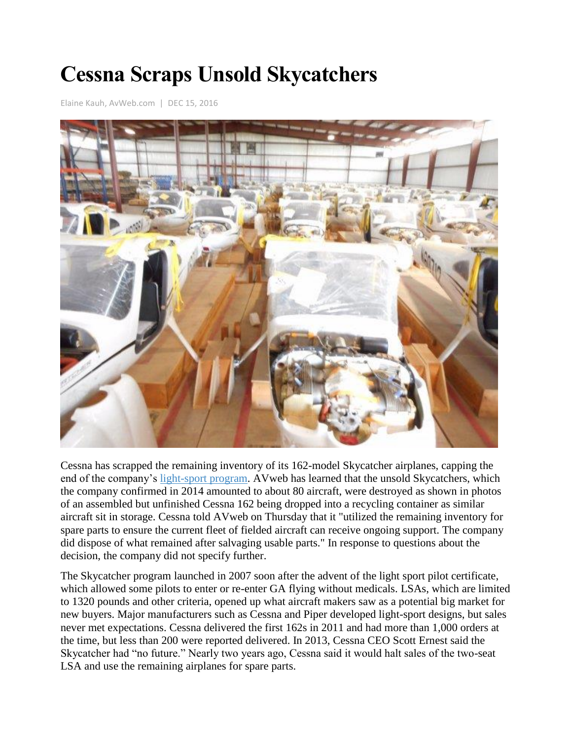## **Cessna Scraps Unsold Skycatchers**

[Elaine Kauh,](http://www.avweb.com/authors/33.html) AvWeb.com | DEC 15, 2016



Cessna has scrapped the remaining inventory of its 162-model Skycatcher airplanes, capping the end of the company's [light-sport program.](http://www.avweb.com/avwebflash/news/End-Of-The-Road-For-Skycatcher-221429-1.html) AVweb has learned that the unsold Skycatchers, which the company confirmed in 2014 amounted to about 80 aircraft, were destroyed as shown in photos of an assembled but unfinished Cessna 162 being dropped into a recycling container as similar aircraft sit in storage. Cessna told AVweb on Thursday that it "utilized the remaining inventory for spare parts to ensure the current fleet of fielded aircraft can receive ongoing support. The company did dispose of what remained after salvaging usable parts." In response to questions about the decision, the company did not specify further.

The Skycatcher program launched in 2007 soon after the advent of the light sport pilot certificate, which allowed some pilots to enter or re-enter GA flying without medicals. LSAs, which are limited to 1320 pounds and other criteria, opened up what aircraft makers saw as a potential big market for new buyers. Major manufacturers such as Cessna and Piper developed light-sport designs, but sales never met expectations. Cessna delivered the first 162s in 2011 and had more than 1,000 orders at the time, but less than 200 were reported delivered. In 2013, Cessna CEO Scott Ernest said the Skycatcher had "no future." Nearly two years ago, Cessna said it would halt sales of the two-seat LSA and use the remaining airplanes for spare parts.